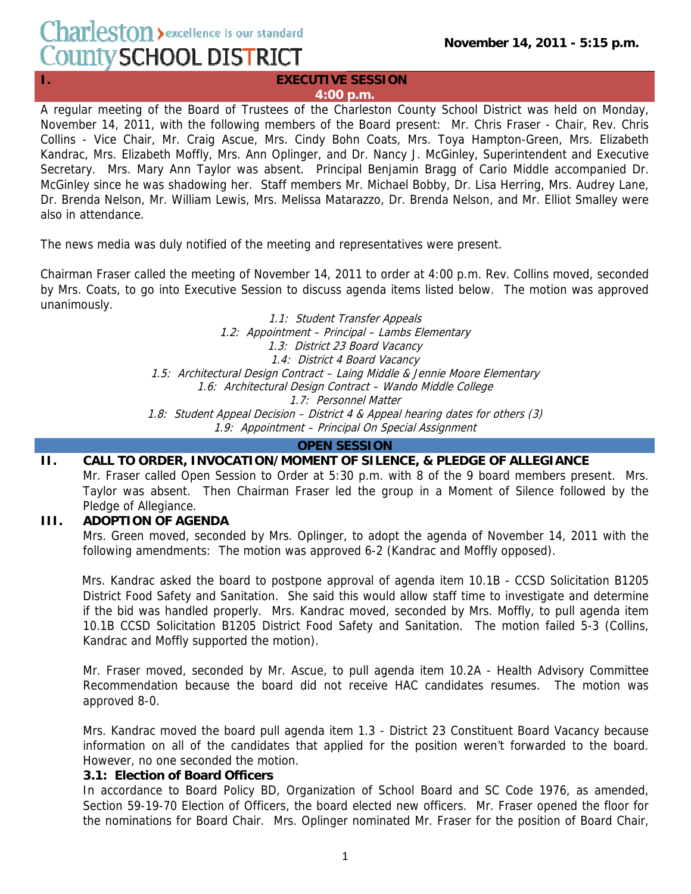# Charleston > excellence is our standard County SCHOOL DISTRICT

#### **I. EXECUTIVE SESSION 4:00 p.m.**

A regular meeting of the Board of Trustees of the Charleston County School District was held on Monday, November 14, 2011, with the following members of the Board present: Mr. Chris Fraser - Chair, Rev. Chris Collins - Vice Chair, Mr. Craig Ascue, Mrs. Cindy Bohn Coats, Mrs. Toya Hampton-Green, Mrs. Elizabeth Kandrac, Mrs. Elizabeth Moffly, Mrs. Ann Oplinger, and Dr. Nancy J. McGinley, Superintendent and Executive Secretary. Mrs. Mary Ann Taylor was absent. Principal Benjamin Bragg of Cario Middle accompanied Dr. McGinley since he was shadowing her. Staff members Mr. Michael Bobby, Dr. Lisa Herring, Mrs. Audrey Lane, Dr. Brenda Nelson, Mr. William Lewis, Mrs. Melissa Matarazzo, Dr. Brenda Nelson, and Mr. Elliot Smalley were also in attendance.

The news media was duly notified of the meeting and representatives were present.

Chairman Fraser called the meeting of November 14, 2011 to order at 4:00 p.m. Rev. Collins moved, seconded by Mrs. Coats, to go into Executive Session to discuss agenda items listed below. The motion was approved unanimously.

> 1.1: Student Transfer Appeals 1.2: Appointment – Principal – Lambs Elementary 1.3: District 23 Board Vacancy 1.4: District 4 Board Vacancy 1.5: Architectural Design Contract – Laing Middle & Jennie Moore Elementary 1.6: Architectural Design Contract – Wando Middle College 1.7: Personnel Matter 1.8: Student Appeal Decision – District 4 & Appeal hearing dates for others (3) 1.9: Appointment – Principal On Special Assignment

#### **OPEN SESSION**

# **II. CALL TO ORDER, INVOCATION/MOMENT OF SILENCE, & PLEDGE OF ALLEGIANCE**

Mr. Fraser called Open Session to Order at 5:30 p.m. with 8 of the 9 board members present. Mrs. Taylor was absent. Then Chairman Fraser led the group in a Moment of Silence followed by the Pledge of Allegiance.

## **III. ADOPTION OF AGENDA**

Mrs. Green moved, seconded by Mrs. Oplinger, to adopt the agenda of November 14, 2011 with the following amendments: The motion was approved 6-2 (Kandrac and Moffly opposed).

Mrs. Kandrac asked the board to postpone approval of agenda item 10.1B - CCSD Solicitation B1205 District Food Safety and Sanitation. She said this would allow staff time to investigate and determine if the bid was handled properly. Mrs. Kandrac moved, seconded by Mrs. Moffly, to pull agenda item 10.1B CCSD Solicitation B1205 District Food Safety and Sanitation. The motion failed 5-3 (Collins, Kandrac and Moffly supported the motion).

Mr. Fraser moved, seconded by Mr. Ascue, to pull agenda item 10.2A - Health Advisory Committee Recommendation because the board did not receive HAC candidates resumes. The motion was approved 8-0.

Mrs. Kandrac moved the board pull agenda item 1.3 - District 23 Constituent Board Vacancy because information on all of the candidates that applied for the position weren't forwarded to the board. However, no one seconded the motion.

## **3.1: Election of Board Officers**

In accordance to Board Policy BD, Organization of School Board and SC Code 1976, as amended, Section 59-19-70 Election of Officers, the board elected new officers. Mr. Fraser opened the floor for the nominations for Board Chair. Mrs. Oplinger nominated Mr. Fraser for the position of Board Chair,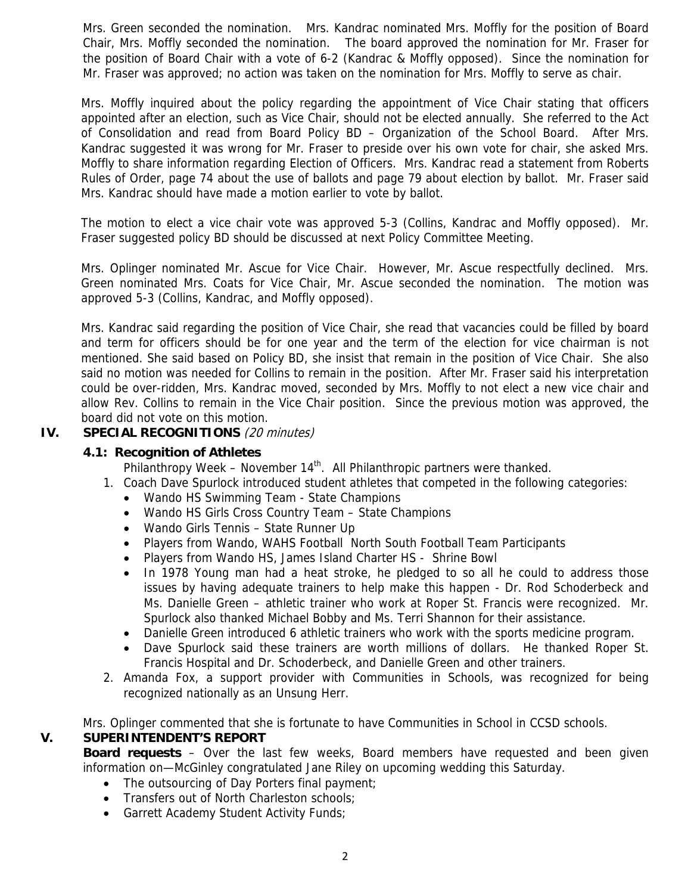Mrs. Green seconded the nomination. Mrs. Kandrac nominated Mrs. Moffly for the position of Board Chair, Mrs. Moffly seconded the nomination. The board approved the nomination for Mr. Fraser for the position of Board Chair with a vote of 6-2 (Kandrac & Moffly opposed). Since the nomination for Mr. Fraser was approved; no action was taken on the nomination for Mrs. Moffly to serve as chair.

Mrs. Moffly inquired about the policy regarding the appointment of Vice Chair stating that officers appointed after an election, such as Vice Chair, should not be elected annually. She referred to the Act of Consolidation and read from Board Policy BD – Organization of the School Board. After Mrs. Kandrac suggested it was wrong for Mr. Fraser to preside over his own vote for chair, she asked Mrs. Moffly to share information regarding Election of Officers. Mrs. Kandrac read a statement from Roberts Rules of Order, page 74 about the use of ballots and page 79 about election by ballot. Mr. Fraser said Mrs. Kandrac should have made a motion earlier to vote by ballot.

The motion to elect a vice chair vote was approved 5-3 (Collins, Kandrac and Moffly opposed). Mr. Fraser suggested policy BD should be discussed at next Policy Committee Meeting.

Mrs. Oplinger nominated Mr. Ascue for Vice Chair. However, Mr. Ascue respectfully declined. Mrs. Green nominated Mrs. Coats for Vice Chair, Mr. Ascue seconded the nomination. The motion was approved 5-3 (Collins, Kandrac, and Moffly opposed).

Mrs. Kandrac said regarding the position of Vice Chair, she read that vacancies could be filled by board and term for officers should be for one year and the term of the election for vice chairman is not mentioned. She said based on Policy BD, she insist that remain in the position of Vice Chair. She also said no motion was needed for Collins to remain in the position. After Mr. Fraser said his interpretation could be over-ridden, Mrs. Kandrac moved, seconded by Mrs. Moffly to not elect a new vice chair and allow Rev. Collins to remain in the Vice Chair position. Since the previous motion was approved, the board did not vote on this motion.

## **IV. SPECIAL RECOGNITIONS** (20 minutes)

## **4.1: Recognition of Athletes**

Philanthropy Week – November  $14<sup>th</sup>$ . All Philanthropic partners were thanked.

- 1. Coach Dave Spurlock introduced student athletes that competed in the following categories:
	- Wando HS Swimming Team State Champions
	- Wando HS Girls Cross Country Team State Champions
	- Wando Girls Tennis State Runner Up
	- Players from Wando, WAHS Football North South Football Team Participants
	- Players from Wando HS, James Island Charter HS Shrine Bowl
	- In 1978 Young man had a heat stroke, he pledged to so all he could to address those issues by having adequate trainers to help make this happen - Dr. Rod Schoderbeck and Ms. Danielle Green – athletic trainer who work at Roper St. Francis were recognized. Mr. Spurlock also thanked Michael Bobby and Ms. Terri Shannon for their assistance.
	- Danielle Green introduced 6 athletic trainers who work with the sports medicine program.
	- Dave Spurlock said these trainers are worth millions of dollars. He thanked Roper St. Francis Hospital and Dr. Schoderbeck, and Danielle Green and other trainers.
- 2. Amanda Fox, a support provider with Communities in Schools, was recognized for being recognized nationally as an Unsung Herr.

Mrs. Oplinger commented that she is fortunate to have Communities in School in CCSD schools.

## **V. SUPERINTENDENT'S REPORT**

**Board requests** – Over the last few weeks, Board members have requested and been given information on—McGinley congratulated Jane Riley on upcoming wedding this Saturday.

- The outsourcing of Day Porters final payment;
- Transfers out of North Charleston schools;
- Garrett Academy Student Activity Funds;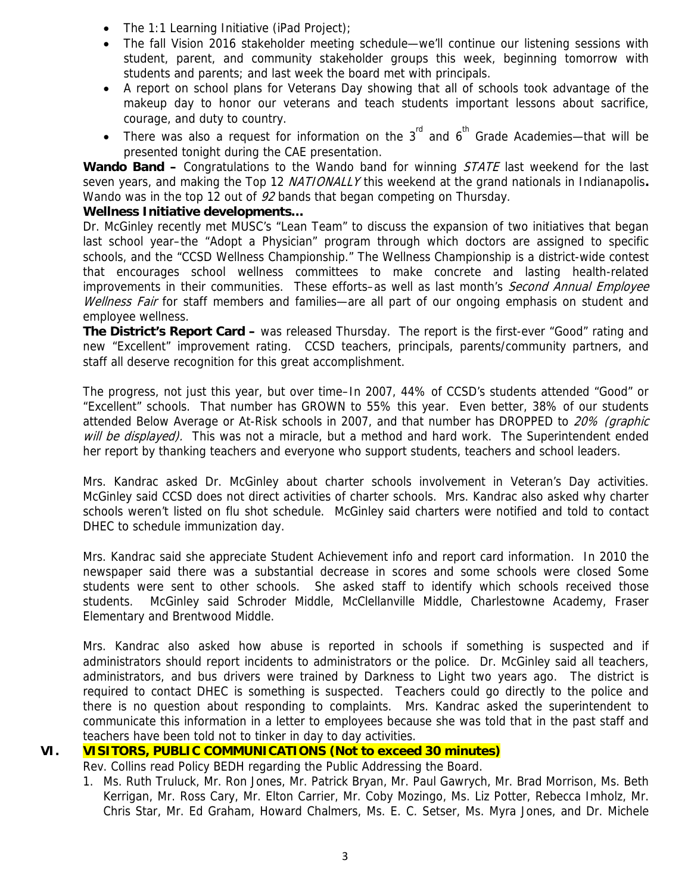- The 1:1 Learning Initiative (iPad Project);
- The fall Vision 2016 stakeholder meeting schedule—we'll continue our listening sessions with student, parent, and community stakeholder groups this week, beginning tomorrow with students and parents; and last week the board met with principals.
- A report on school plans for Veterans Day showing that all of schools took advantage of the makeup day to honor our veterans and teach students important lessons about sacrifice, courage, and duty to country.
- There was also a request for information on the  $3<sup>rd</sup>$  and  $6<sup>th</sup>$  Grade Academies—that will be presented tonight during the CAE presentation.

Wando Band – Congratulations to the Wando band for winning *STATE* last weekend for the last seven years, and making the Top 12 NATIONALLY this weekend at the grand nationals in Indianapolis**.** Wando was in the top 12 out of 92 bands that began competing on Thursday.

## **Wellness Initiative developments…**

Dr. McGinley recently met MUSC's "Lean Team" to discuss the expansion of two initiatives that began last school year–the "Adopt a Physician" program through which doctors are assigned to specific schools, and the "CCSD Wellness Championship." The Wellness Championship is a district-wide contest that encourages school wellness committees to make concrete and lasting health-related improvements in their communities. These efforts–as well as last month's Second Annual Employee Wellness Fair for staff members and families—are all part of our ongoing emphasis on student and employee wellness.

**The District's Report Card –** was released Thursday. The report is the first-ever "Good" rating and new "Excellent" improvement rating. CCSD teachers, principals, parents/community partners, and staff all deserve recognition for this great accomplishment.

The progress, not just this year, but over time–In 2007, 44% of CCSD's students attended "Good" or "Excellent" schools. That number has GROWN to 55% this year. Even better, 38% of our students attended Below Average or At-Risk schools in 2007, and that number has DROPPED to 20% (graphic will be displayed). This was not a miracle, but a method and hard work. The Superintendent ended her report by thanking teachers and everyone who support students, teachers and school leaders.

Mrs. Kandrac asked Dr. McGinley about charter schools involvement in Veteran's Day activities. McGinley said CCSD does not direct activities of charter schools. Mrs. Kandrac also asked why charter schools weren't listed on flu shot schedule. McGinley said charters were notified and told to contact DHEC to schedule immunization day.

Mrs. Kandrac said she appreciate Student Achievement info and report card information. In 2010 the newspaper said there was a substantial decrease in scores and some schools were closed Some students were sent to other schools. She asked staff to identify which schools received those students. McGinley said Schroder Middle, McClellanville Middle, Charlestowne Academy, Fraser Elementary and Brentwood Middle.

Mrs. Kandrac also asked how abuse is reported in schools if something is suspected and if administrators should report incidents to administrators or the police. Dr. McGinley said all teachers, administrators, and bus drivers were trained by Darkness to Light two years ago. The district is required to contact DHEC is something is suspected. Teachers could go directly to the police and there is no question about responding to complaints. Mrs. Kandrac asked the superintendent to communicate this information in a letter to employees because she was told that in the past staff and teachers have been told not to tinker in day to day activities.

## **VI. VISITORS, PUBLIC COMMUNICATIONS (Not to exceed 30 minutes)**

Rev. Collins read Policy BEDH regarding the Public Addressing the Board.

1. Ms. Ruth Truluck, Mr. Ron Jones, Mr. Patrick Bryan, Mr. Paul Gawrych, Mr. Brad Morrison, Ms. Beth Kerrigan, Mr. Ross Cary, Mr. Elton Carrier, Mr. Coby Mozingo, Ms. Liz Potter, Rebecca Imholz, Mr. Chris Star, Mr. Ed Graham, Howard Chalmers, Ms. E. C. Setser, Ms. Myra Jones, and Dr. Michele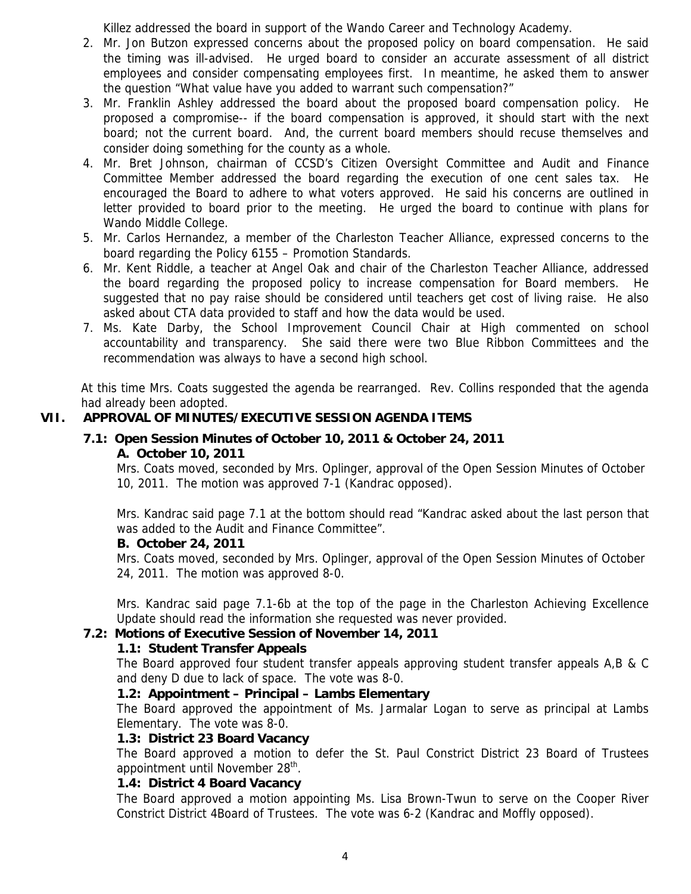Killez addressed the board in support of the Wando Career and Technology Academy.

- 2. Mr. Jon Butzon expressed concerns about the proposed policy on board compensation. He said the timing was ill-advised. He urged board to consider an accurate assessment of all district employees and consider compensating employees first. In meantime, he asked them to answer the question "What value have you added to warrant such compensation?"
- 3. Mr. Franklin Ashley addressed the board about the proposed board compensation policy. He proposed a compromise-- if the board compensation is approved, it should start with the next board; not the current board. And, the current board members should recuse themselves and consider doing something for the county as a whole.
- 4. Mr. Bret Johnson, chairman of CCSD's Citizen Oversight Committee and Audit and Finance Committee Member addressed the board regarding the execution of one cent sales tax. He encouraged the Board to adhere to what voters approved. He said his concerns are outlined in letter provided to board prior to the meeting. He urged the board to continue with plans for Wando Middle College.
- 5. Mr. Carlos Hernandez, a member of the Charleston Teacher Alliance, expressed concerns to the board regarding the Policy 6155 – Promotion Standards.
- 6. Mr. Kent Riddle, a teacher at Angel Oak and chair of the Charleston Teacher Alliance, addressed the board regarding the proposed policy to increase compensation for Board members. He suggested that no pay raise should be considered until teachers get cost of living raise. He also asked about CTA data provided to staff and how the data would be used.
- 7. Ms. Kate Darby, the School Improvement Council Chair at High commented on school accountability and transparency. She said there were two Blue Ribbon Committees and the recommendation was always to have a second high school.

At this time Mrs. Coats suggested the agenda be rearranged. Rev. Collins responded that the agenda had already been adopted.

# **VII. APPROVAL OF MINUTES/EXECUTIVE SESSION AGENDA ITEMS**

# **7.1: Open Session Minutes of October 10, 2011 & October 24, 2011 A. October 10, 2011**

Mrs. Coats moved, seconded by Mrs. Oplinger, approval of the Open Session Minutes of October 10, 2011. The motion was approved 7-1 (Kandrac opposed).

Mrs. Kandrac said page 7.1 at the bottom should read "Kandrac asked about the last person that was added to the Audit and Finance Committee".

## **B. October 24, 2011**

Mrs. Coats moved, seconded by Mrs. Oplinger, approval of the Open Session Minutes of October 24, 2011. The motion was approved 8-0.

Mrs. Kandrac said page 7.1-6b at the top of the page in the Charleston Achieving Excellence Update should read the information she requested was never provided.

# **7.2: Motions of Executive Session of November 14, 2011**

# **1.1: Student Transfer Appeals**

The Board approved four student transfer appeals approving student transfer appeals A,B & C and deny D due to lack of space. The vote was 8-0.

## **1.2: Appointment – Principal – Lambs Elementary**

The Board approved the appointment of Ms. Jarmalar Logan to serve as principal at Lambs Elementary. The vote was 8-0.

## **1.3: District 23 Board Vacancy**

The Board approved a motion to defer the St. Paul Constrict District 23 Board of Trustees appointment until November 28<sup>th</sup>.

## **1.4: District 4 Board Vacancy**

The Board approved a motion appointing Ms. Lisa Brown-Twun to serve on the Cooper River Constrict District 4Board of Trustees. The vote was 6-2 (Kandrac and Moffly opposed).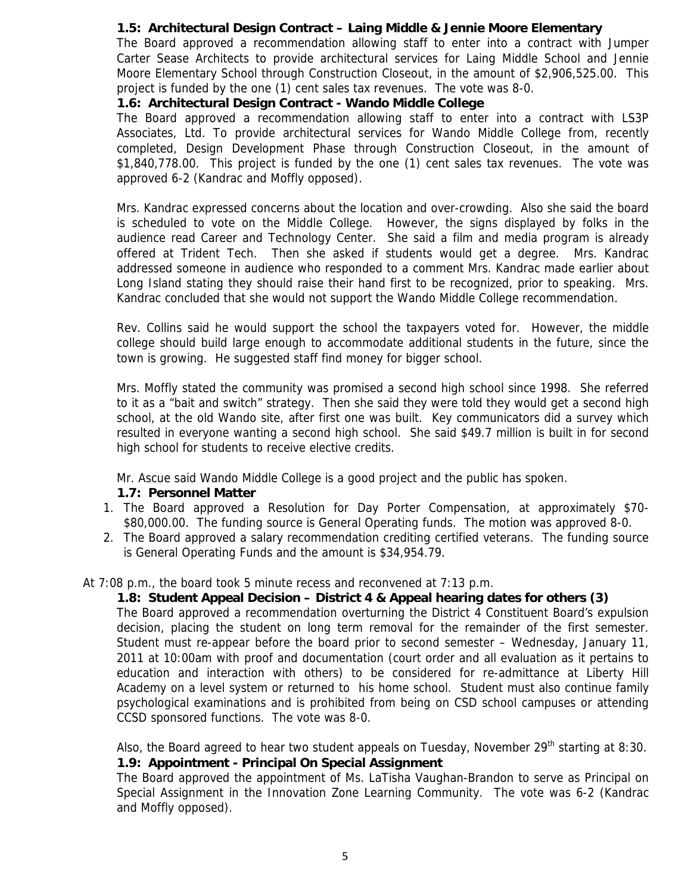# **1.5: Architectural Design Contract – Laing Middle & Jennie Moore Elementary**

The Board approved a recommendation allowing staff to enter into a contract with Jumper Carter Sease Architects to provide architectural services for Laing Middle School and Jennie Moore Elementary School through Construction Closeout, in the amount of \$2,906,525.00. This project is funded by the one (1) cent sales tax revenues. The vote was 8-0.

## **1.6: Architectural Design Contract - Wando Middle College**

The Board approved a recommendation allowing staff to enter into a contract with LS3P Associates, Ltd. To provide architectural services for Wando Middle College from, recently completed, Design Development Phase through Construction Closeout, in the amount of \$1,840,778.00. This project is funded by the one (1) cent sales tax revenues. The vote was approved 6-2 (Kandrac and Moffly opposed).

Mrs. Kandrac expressed concerns about the location and over-crowding. Also she said the board is scheduled to vote on the Middle College. However, the signs displayed by folks in the audience read Career and Technology Center. She said a film and media program is already offered at Trident Tech. Then she asked if students would get a degree. Mrs. Kandrac addressed someone in audience who responded to a comment Mrs. Kandrac made earlier about Long Island stating they should raise their hand first to be recognized, prior to speaking. Mrs. Kandrac concluded that she would not support the Wando Middle College recommendation.

Rev. Collins said he would support the school the taxpayers voted for. However, the middle college should build large enough to accommodate additional students in the future, since the town is growing. He suggested staff find money for bigger school.

Mrs. Moffly stated the community was promised a second high school since 1998. She referred to it as a "bait and switch" strategy. Then she said they were told they would get a second high school, at the old Wando site, after first one was built. Key communicators did a survey which resulted in everyone wanting a second high school. She said \$49.7 million is built in for second high school for students to receive elective credits.

Mr. Ascue said Wando Middle College is a good project and the public has spoken.

## **1.7: Personnel Matter**

- 1. The Board approved a Resolution for Day Porter Compensation, at approximately \$70- \$80,000.00. The funding source is General Operating funds. The motion was approved 8-0.
- 2. The Board approved a salary recommendation crediting certified veterans. The funding source is General Operating Funds and the amount is \$34,954.79.

# At 7:08 p.m., the board took 5 minute recess and reconvened at 7:13 p.m.

# **1.8: Student Appeal Decision – District 4 & Appeal hearing dates for others (3)**

The Board approved a recommendation overturning the District 4 Constituent Board's expulsion decision, placing the student on long term removal for the remainder of the first semester. Student must re-appear before the board prior to second semester – Wednesday, January 11, 2011 at 10:00am with proof and documentation (court order and all evaluation as it pertains to education and interaction with others) to be considered for re-admittance at Liberty Hill Academy on a level system or returned to his home school. Student must also continue family psychological examinations and is prohibited from being on CSD school campuses or attending CCSD sponsored functions. The vote was 8-0.

Also, the Board agreed to hear two student appeals on Tuesday, November  $29<sup>th</sup>$  starting at 8:30. **1.9: Appointment - Principal On Special Assignment** 

The Board approved the appointment of Ms. LaTisha Vaughan-Brandon to serve as Principal on Special Assignment in the Innovation Zone Learning Community. The vote was 6-2 (Kandrac and Moffly opposed).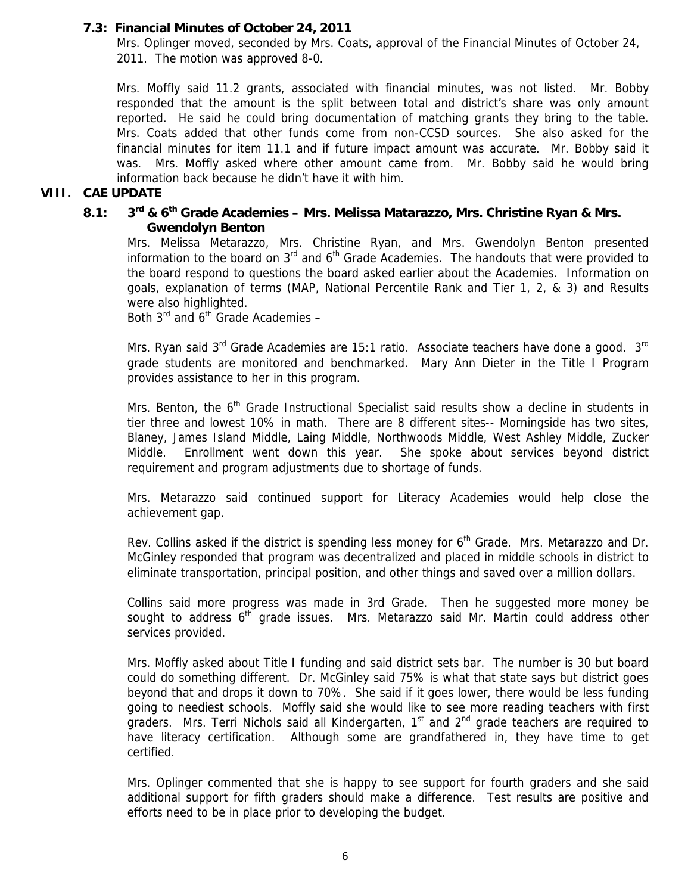## **7.3: Financial Minutes of October 24, 2011**

Mrs. Oplinger moved, seconded by Mrs. Coats, approval of the Financial Minutes of October 24, 2011. The motion was approved 8-0.

Mrs. Moffly said 11.2 grants, associated with financial minutes, was not listed. Mr. Bobby responded that the amount is the split between total and district's share was only amount reported. He said he could bring documentation of matching grants they bring to the table. Mrs. Coats added that other funds come from non-CCSD sources. She also asked for the financial minutes for item 11.1 and if future impact amount was accurate. Mr. Bobby said it was. Mrs. Moffly asked where other amount came from. Mr. Bobby said he would bring information back because he didn't have it with him.

## **VIII. CAE UPDATE**

# **8.1: 3rd & 6th Grade Academies – Mrs. Melissa Matarazzo, Mrs. Christine Ryan & Mrs. Gwendolyn Benton**

Mrs. Melissa Metarazzo, Mrs. Christine Ryan, and Mrs. Gwendolyn Benton presented information to the board on  $3<sup>rd</sup>$  and  $6<sup>th</sup>$  Grade Academies. The handouts that were provided to the board respond to questions the board asked earlier about the Academies. Information on goals, explanation of terms (MAP, National Percentile Rank and Tier 1, 2, & 3) and Results were also highlighted.

Both  $3^{rd}$  and  $6^{th}$  Grade Academies –

Mrs. Ryan said 3<sup>rd</sup> Grade Academies are 15:1 ratio. Associate teachers have done a good. 3<sup>rd</sup> grade students are monitored and benchmarked. Mary Ann Dieter in the Title I Program provides assistance to her in this program.

Mrs. Benton, the  $6<sup>th</sup>$  Grade Instructional Specialist said results show a decline in students in tier three and lowest 10% in math. There are 8 different sites-- Morningside has two sites, Blaney, James Island Middle, Laing Middle, Northwoods Middle, West Ashley Middle, Zucker Middle. Enrollment went down this year. She spoke about services beyond district requirement and program adjustments due to shortage of funds.

Mrs. Metarazzo said continued support for Literacy Academies would help close the achievement gap.

Rev. Collins asked if the district is spending less money for 6<sup>th</sup> Grade. Mrs. Metarazzo and Dr. McGinley responded that program was decentralized and placed in middle schools in district to eliminate transportation, principal position, and other things and saved over a million dollars.

Collins said more progress was made in 3rd Grade. Then he suggested more money be sought to address  $6<sup>th</sup>$  grade issues. Mrs. Metarazzo said Mr. Martin could address other services provided.

Mrs. Moffly asked about Title I funding and said district sets bar. The number is 30 but board could do something different. Dr. McGinley said 75% is what that state says but district goes beyond that and drops it down to 70%. She said if it goes lower, there would be less funding going to neediest schools. Moffly said she would like to see more reading teachers with first graders. Mrs. Terri Nichols said all Kindergarten,  $1<sup>st</sup>$  and  $2<sup>nd</sup>$  grade teachers are required to have literacy certification. Although some are grandfathered in, they have time to get certified.

Mrs. Oplinger commented that she is happy to see support for fourth graders and she said additional support for fifth graders should make a difference. Test results are positive and efforts need to be in place prior to developing the budget.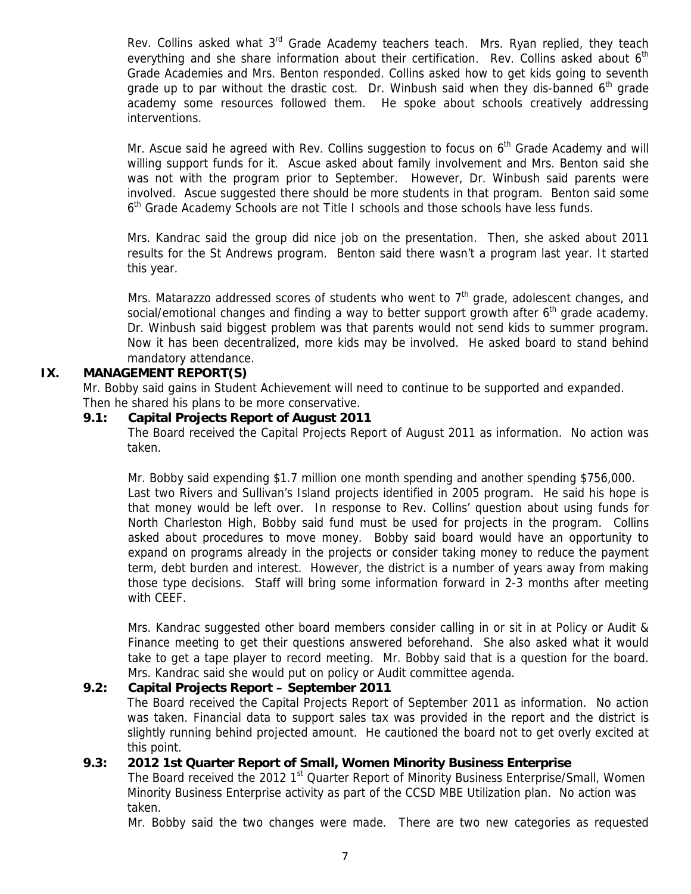Rev. Collins asked what  $3<sup>rd</sup>$  Grade Academy teachers teach. Mrs. Ryan replied, they teach everything and she share information about their certification. Rev. Collins asked about 6<sup>th</sup> Grade Academies and Mrs. Benton responded. Collins asked how to get kids going to seventh grade up to par without the drastic cost. Dr. Winbush said when they dis-banned  $6<sup>th</sup>$  grade academy some resources followed them. He spoke about schools creatively addressing interventions.

Mr. Ascue said he agreed with Rev. Collins suggestion to focus on 6<sup>th</sup> Grade Academy and will willing support funds for it. Ascue asked about family involvement and Mrs. Benton said she was not with the program prior to September. However, Dr. Winbush said parents were involved. Ascue suggested there should be more students in that program. Benton said some 6th Grade Academy Schools are not Title I schools and those schools have less funds.

Mrs. Kandrac said the group did nice job on the presentation. Then, she asked about 2011 results for the St Andrews program. Benton said there wasn't a program last year. It started this year.

Mrs. Matarazzo addressed scores of students who went to  $7<sup>th</sup>$  grade, adolescent changes, and social/emotional changes and finding a way to better support growth after  $6<sup>th</sup>$  grade academy. Dr. Winbush said biggest problem was that parents would not send kids to summer program. Now it has been decentralized, more kids may be involved. He asked board to stand behind mandatory attendance.

## **IX. MANAGEMENT REPORT(S)**

Mr. Bobby said gains in Student Achievement will need to continue to be supported and expanded. Then he shared his plans to be more conservative.

#### **9.1: Capital Projects Report of August 2011**

The Board received the Capital Projects Report of August 2011 as information. No action was taken.

Mr. Bobby said expending \$1.7 million one month spending and another spending \$756,000. Last two Rivers and Sullivan's Island projects identified in 2005 program. He said his hope is that money would be left over. In response to Rev. Collins' question about using funds for North Charleston High, Bobby said fund must be used for projects in the program. Collins asked about procedures to move money. Bobby said board would have an opportunity to expand on programs already in the projects or consider taking money to reduce the payment term, debt burden and interest. However, the district is a number of years away from making those type decisions. Staff will bring some information forward in 2-3 months after meeting with CEEF.

Mrs. Kandrac suggested other board members consider calling in or sit in at Policy or Audit & Finance meeting to get their questions answered beforehand. She also asked what it would take to get a tape player to record meeting. Mr. Bobby said that is a question for the board. Mrs. Kandrac said she would put on policy or Audit committee agenda.

## **9.2: Capital Projects Report – September 2011**

The Board received the Capital Projects Report of September 2011 as information. No action was taken. Financial data to support sales tax was provided in the report and the district is slightly running behind projected amount. He cautioned the board not to get overly excited at this point.

## **9.3: 2012 1st Quarter Report of Small, Women Minority Business Enterprise**

The Board received the 2012 1<sup>st</sup> Quarter Report of Minority Business Enterprise/Small, Women Minority Business Enterprise activity as part of the CCSD MBE Utilization plan. No action was taken.

Mr. Bobby said the two changes were made. There are two new categories as requested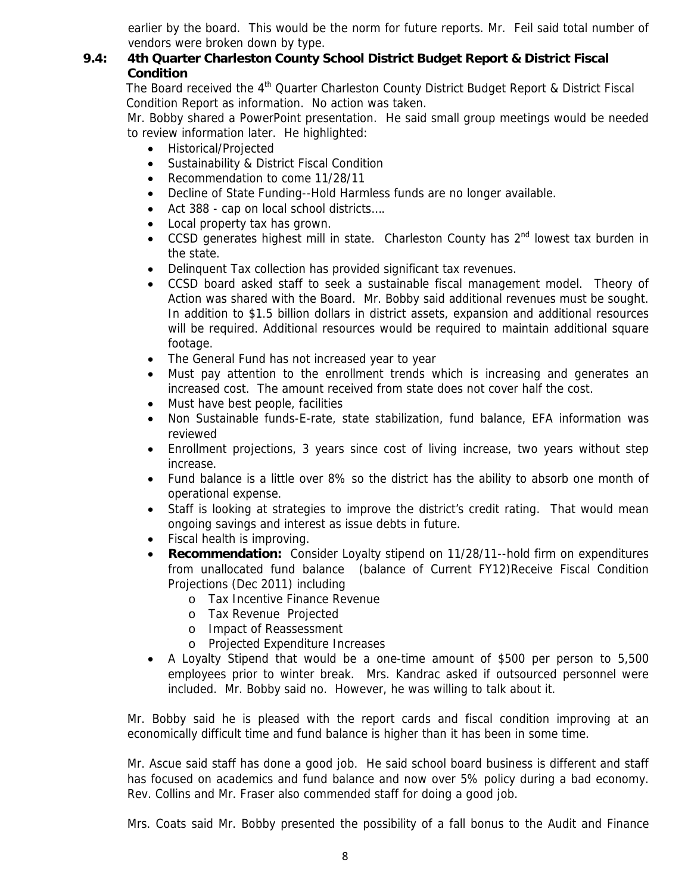earlier by the board. This would be the norm for future reports. Mr. Feil said total number of vendors were broken down by type.

# **9.4: 4th Quarter Charleston County School District Budget Report & District Fiscal Condition**

The Board received the 4<sup>th</sup> Quarter Charleston County District Budget Report & District Fiscal Condition Report as information. No action was taken.

Mr. Bobby shared a PowerPoint presentation. He said small group meetings would be needed to review information later. He highlighted:

- Historical/Projected
- Sustainability & District Fiscal Condition
- Recommendation to come 11/28/11
- Decline of State Funding--Hold Harmless funds are no longer available.
- Act 388 cap on local school districts....
- Local property tax has grown.
- CCSD generates highest mill in state. Charleston County has 2<sup>nd</sup> lowest tax burden in the state.
- Delinquent Tax collection has provided significant tax revenues.
- CCSD board asked staff to seek a sustainable fiscal management model. Theory of Action was shared with the Board. Mr. Bobby said additional revenues must be sought. In addition to \$1.5 billion dollars in district assets, expansion and additional resources will be required. Additional resources would be required to maintain additional square footage.
- The General Fund has not increased year to year
- Must pay attention to the enrollment trends which is increasing and generates an increased cost. The amount received from state does not cover half the cost.
- Must have best people, facilities
- Non Sustainable funds-E-rate, state stabilization, fund balance, EFA information was reviewed
- Enrollment projections, 3 years since cost of living increase, two years without step increase.
- Fund balance is a little over 8% so the district has the ability to absorb one month of operational expense.
- Staff is looking at strategies to improve the district's credit rating. That would mean ongoing savings and interest as issue debts in future.
- Fiscal health is improving.
- **Recommendation:** Consider Loyalty stipend on 11/28/11--hold firm on expenditures from unallocated fund balance (balance of Current FY12)Receive Fiscal Condition Projections (Dec 2011) including
	- o Tax Incentive Finance Revenue
	- o Tax Revenue Projected
	- o Impact of Reassessment
	- o Projected Expenditure Increases
- A Loyalty Stipend that would be a one-time amount of \$500 per person to 5,500 employees prior to winter break. Mrs. Kandrac asked if outsourced personnel were included. Mr. Bobby said no. However, he was willing to talk about it.

Mr. Bobby said he is pleased with the report cards and fiscal condition improving at an economically difficult time and fund balance is higher than it has been in some time.

Mr. Ascue said staff has done a good job. He said school board business is different and staff has focused on academics and fund balance and now over 5% policy during a bad economy. Rev. Collins and Mr. Fraser also commended staff for doing a good job.

Mrs. Coats said Mr. Bobby presented the possibility of a fall bonus to the Audit and Finance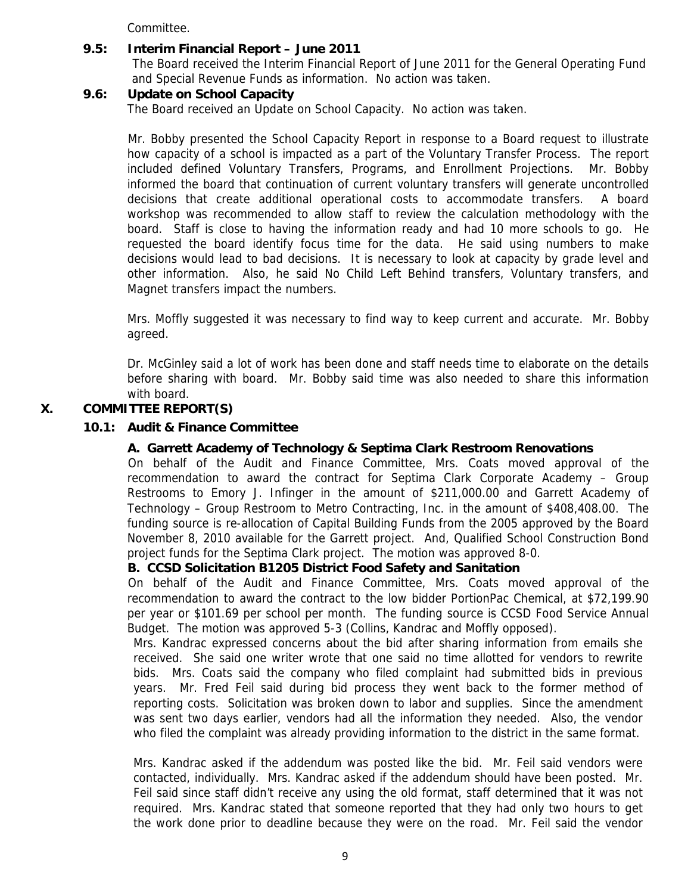Committee.

#### **9.5: Interim Financial Report – June 2011**

The Board received the Interim Financial Report of June 2011 for the General Operating Fund and Special Revenue Funds as information. No action was taken.

#### **9.6: Update on School Capacity**

The Board received an Update on School Capacity. No action was taken.

Mr. Bobby presented the School Capacity Report in response to a Board request to illustrate how capacity of a school is impacted as a part of the Voluntary Transfer Process. The report included defined Voluntary Transfers, Programs, and Enrollment Projections. Mr. Bobby informed the board that continuation of current voluntary transfers will generate uncontrolled decisions that create additional operational costs to accommodate transfers. A board workshop was recommended to allow staff to review the calculation methodology with the board. Staff is close to having the information ready and had 10 more schools to go. He requested the board identify focus time for the data. He said using numbers to make decisions would lead to bad decisions. It is necessary to look at capacity by grade level and other information. Also, he said No Child Left Behind transfers, Voluntary transfers, and Magnet transfers impact the numbers.

Mrs. Moffly suggested it was necessary to find way to keep current and accurate. Mr. Bobby agreed.

Dr. McGinley said a lot of work has been done and staff needs time to elaborate on the details before sharing with board. Mr. Bobby said time was also needed to share this information with board.

#### **X. COMMITTEE REPORT(S)**

#### **10.1: Audit & Finance Committee**

#### **A. Garrett Academy of Technology & Septima Clark Restroom Renovations**

On behalf of the Audit and Finance Committee, Mrs. Coats moved approval of the recommendation to award the contract for Septima Clark Corporate Academy – Group Restrooms to Emory J. Infinger in the amount of \$211,000.00 and Garrett Academy of Technology – Group Restroom to Metro Contracting, Inc. in the amount of \$408,408.00. The funding source is re-allocation of Capital Building Funds from the 2005 approved by the Board November 8, 2010 available for the Garrett project. And, Qualified School Construction Bond project funds for the Septima Clark project. The motion was approved 8-0.

#### **B. CCSD Solicitation B1205 District Food Safety and Sanitation**

On behalf of the Audit and Finance Committee, Mrs. Coats moved approval of the recommendation to award the contract to the low bidder PortionPac Chemical, at \$72,199.90 per year or \$101.69 per school per month. The funding source is CCSD Food Service Annual Budget. The motion was approved 5-3 (Collins, Kandrac and Moffly opposed).

Mrs. Kandrac expressed concerns about the bid after sharing information from emails she received. She said one writer wrote that one said no time allotted for vendors to rewrite bids. Mrs. Coats said the company who filed complaint had submitted bids in previous years. Mr. Fred Feil said during bid process they went back to the former method of reporting costs. Solicitation was broken down to labor and supplies. Since the amendment was sent two days earlier, vendors had all the information they needed. Also, the vendor who filed the complaint was already providing information to the district in the same format.

Mrs. Kandrac asked if the addendum was posted like the bid. Mr. Feil said vendors were contacted, individually. Mrs. Kandrac asked if the addendum should have been posted. Mr. Feil said since staff didn't receive any using the old format, staff determined that it was not required. Mrs. Kandrac stated that someone reported that they had only two hours to get the work done prior to deadline because they were on the road. Mr. Feil said the vendor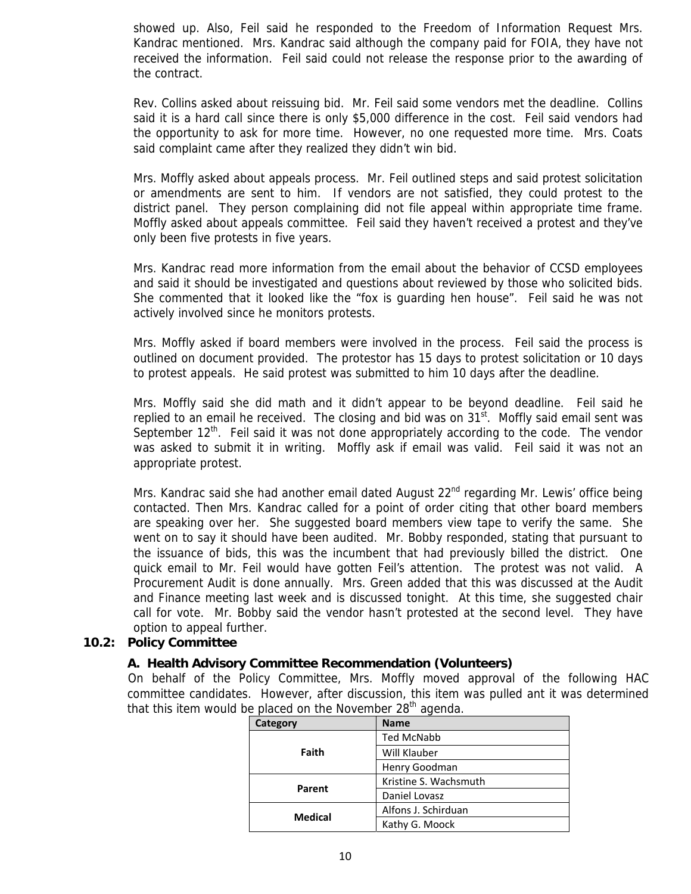showed up. Also, Feil said he responded to the Freedom of Information Request Mrs. Kandrac mentioned. Mrs. Kandrac said although the company paid for FOIA, they have not received the information. Feil said could not release the response prior to the awarding of the contract.

Rev. Collins asked about reissuing bid. Mr. Feil said some vendors met the deadline. Collins said it is a hard call since there is only \$5,000 difference in the cost. Feil said vendors had the opportunity to ask for more time. However, no one requested more time. Mrs. Coats said complaint came after they realized they didn't win bid.

Mrs. Moffly asked about appeals process. Mr. Feil outlined steps and said protest solicitation or amendments are sent to him. If vendors are not satisfied, they could protest to the district panel. They person complaining did not file appeal within appropriate time frame. Moffly asked about appeals committee. Feil said they haven't received a protest and they've only been five protests in five years.

Mrs. Kandrac read more information from the email about the behavior of CCSD employees and said it should be investigated and questions about reviewed by those who solicited bids. She commented that it looked like the "fox is guarding hen house". Feil said he was not actively involved since he monitors protests.

Mrs. Moffly asked if board members were involved in the process. Feil said the process is outlined on document provided. The protestor has 15 days to protest solicitation or 10 days to protest appeals. He said protest was submitted to him 10 days after the deadline.

Mrs. Moffly said she did math and it didn't appear to be beyond deadline. Feil said he replied to an email he received. The closing and bid was on  $31<sup>st</sup>$ . Moffly said email sent was September  $12<sup>th</sup>$ . Feil said it was not done appropriately according to the code. The vendor was asked to submit it in writing. Moffly ask if email was valid. Feil said it was not an appropriate protest.

Mrs. Kandrac said she had another email dated August 22<sup>nd</sup> regarding Mr. Lewis' office being contacted. Then Mrs. Kandrac called for a point of order citing that other board members are speaking over her. She suggested board members view tape to verify the same. She went on to say it should have been audited. Mr. Bobby responded, stating that pursuant to the issuance of bids, this was the incumbent that had previously billed the district. One quick email to Mr. Feil would have gotten Feil's attention. The protest was not valid. A Procurement Audit is done annually. Mrs. Green added that this was discussed at the Audit and Finance meeting last week and is discussed tonight. At this time, she suggested chair call for vote. Mr. Bobby said the vendor hasn't protested at the second level. They have option to appeal further.

## **10.2: Policy Committee**

#### **A. Health Advisory Committee Recommendation (Volunteers)**

On behalf of the Policy Committee, Mrs. Moffly moved approval of the following HAC committee candidates. However, after discussion, this item was pulled ant it was determined that this item would be placed on the November  $28<sup>th</sup>$  agenda.

| Category       | <b>Name</b>           |
|----------------|-----------------------|
| Faith          | <b>Ted McNabb</b>     |
|                | Will Klauber          |
|                | Henry Goodman         |
| Parent         | Kristine S. Wachsmuth |
|                | Daniel Lovasz         |
| <b>Medical</b> | Alfons J. Schirduan   |
|                | Kathy G. Moock        |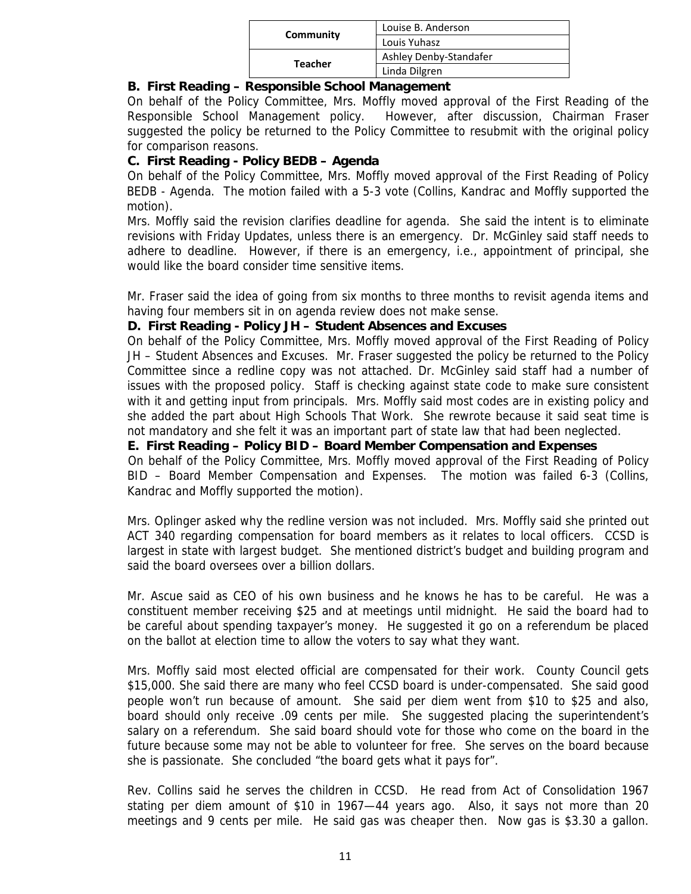| Community      | Louise B. Anderson     |
|----------------|------------------------|
|                | Louis Yuhasz           |
| <b>Teacher</b> | Ashley Denby-Standafer |
|                | Linda Dilgren          |

## **B. First Reading – Responsible School Management**

On behalf of the Policy Committee, Mrs. Moffly moved approval of the First Reading of the Responsible School Management policy. However, after discussion, Chairman Fraser suggested the policy be returned to the Policy Committee to resubmit with the original policy for comparison reasons.

## **C. First Reading - Policy BEDB – Agenda**

On behalf of the Policy Committee, Mrs. Moffly moved approval of the First Reading of Policy BEDB - Agenda. The motion failed with a 5-3 vote (Collins, Kandrac and Moffly supported the motion).

Mrs. Moffly said the revision clarifies deadline for agenda. She said the intent is to eliminate revisions with Friday Updates, unless there is an emergency. Dr. McGinley said staff needs to adhere to deadline. However, if there is an emergency, i.e., appointment of principal, she would like the board consider time sensitive items.

Mr. Fraser said the idea of going from six months to three months to revisit agenda items and having four members sit in on agenda review does not make sense.

## **D. First Reading - Policy JH – Student Absences and Excuses**

On behalf of the Policy Committee, Mrs. Moffly moved approval of the First Reading of Policy JH – Student Absences and Excuses. Mr. Fraser suggested the policy be returned to the Policy Committee since a redline copy was not attached. Dr. McGinley said staff had a number of issues with the proposed policy. Staff is checking against state code to make sure consistent with it and getting input from principals. Mrs. Moffly said most codes are in existing policy and she added the part about High Schools That Work. She rewrote because it said seat time is not mandatory and she felt it was an important part of state law that had been neglected.

#### **E. First Reading – Policy BID – Board Member Compensation and Expenses**

On behalf of the Policy Committee, Mrs. Moffly moved approval of the First Reading of Policy BID – Board Member Compensation and Expenses. The motion was failed 6-3 (Collins, Kandrac and Moffly supported the motion).

Mrs. Oplinger asked why the redline version was not included. Mrs. Moffly said she printed out ACT 340 regarding compensation for board members as it relates to local officers. CCSD is largest in state with largest budget. She mentioned district's budget and building program and said the board oversees over a billion dollars.

Mr. Ascue said as CEO of his own business and he knows he has to be careful. He was a constituent member receiving \$25 and at meetings until midnight. He said the board had to be careful about spending taxpayer's money. He suggested it go on a referendum be placed on the ballot at election time to allow the voters to say what they want.

Mrs. Moffly said most elected official are compensated for their work. County Council gets \$15,000. She said there are many who feel CCSD board is under-compensated. She said good people won't run because of amount. She said per diem went from \$10 to \$25 and also, board should only receive .09 cents per mile. She suggested placing the superintendent's salary on a referendum. She said board should vote for those who come on the board in the future because some may not be able to volunteer for free. She serves on the board because she is passionate. She concluded "the board gets what it pays for".

Rev. Collins said he serves the children in CCSD. He read from Act of Consolidation 1967 stating per diem amount of \$10 in 1967—44 years ago. Also, it says not more than 20 meetings and 9 cents per mile. He said gas was cheaper then. Now gas is \$3.30 a gallon.